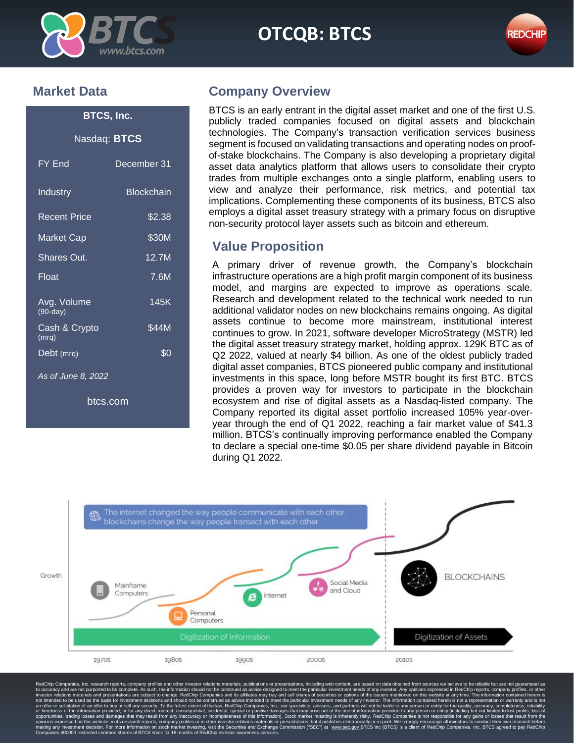

# OTCQB: **BTCS OTCQB: BTCS**



### **Market Data**

# **BTCS, Inc.** Nasdaq: **BTCS**

| FY End                    | December 31       |
|---------------------------|-------------------|
| Industry                  | <b>Blockchain</b> |
| <b>Recent Price</b>       | \$2.38            |
| Market Cap                | \$30M             |
| Shares Out.               | 12.7M             |
| Float                     | 7.6M              |
| Avg. Volume<br>$(90-day)$ | 145K              |
| Cash & Crypto<br>(mrq)    | \$44M             |
| Debt (mrq)                | \$0               |
| As of June 8, 2022        |                   |

btcs.com

## **Company Overview**

BTCS is an early entrant in the digital asset market and one of the first U.S. publicly traded companies focused on digital assets and blockchain technologies. The Company's transaction verification services business segment is focused on validating transactions and operating nodes on proofof-stake blockchains. The Company is also developing a proprietary digital asset data analytics platform that allows users to consolidate their crypto trades from multiple exchanges onto a single platform, enabling users to view and analyze their performance, risk metrics, and potential tax implications. Complementing these components of its business, BTCS also employs a digital asset treasury strategy with a primary focus on disruptive non-security protocol layer assets such as bitcoin and ethereum.

### **Value Proposition**

A primary driver of revenue growth, the Company's blockchain infrastructure operations are a high profit margin component of its business model, and margins are expected to improve as operations scale. Research and development related to the technical work needed to run additional validator nodes on new blockchains remains ongoing. As digital assets continue to become more mainstream, institutional interest continues to grow. In 2021, software developer MicroStrategy (MSTR) led the digital asset treasury strategy market, holding approx. 129K BTC as of Q2 2022, valued at nearly \$4 billion. As one of the oldest publicly traded digital asset companies, BTCS pioneered public company and institutional investments in this space, long before MSTR bought its first BTC. BTCS provides a proven way for investors to participate in the blockchain ecosystem and rise of digital assets as a Nasdaq-listed company. The Company reported its digital asset portfolio increased 105% year-overyear through the end of Q1 2022, reaching a fair market value of \$41.3 million. BTCS's continually improving performance enabled the Company to declare a special one-time \$0.05 per share dividend payable in Bitcoin during Q1 2022.



RedChip Companies, Inc. research reports, company profiles and other investor relations materials, publications or presentations, including web content, are based on data obtained from sources we believe to be reliable but opportunities, trading losses and damages that may result from any inaccuracy or incompleteness of this information). Stock market investing is inherently risky. RedChip Companies is not responsible for any gains or losses r more information on stock market investing, visit the Securities and Exchange Commission ("SEC"<br>on shares of BTCS stock for 18 months of RedChip investor awareness services.